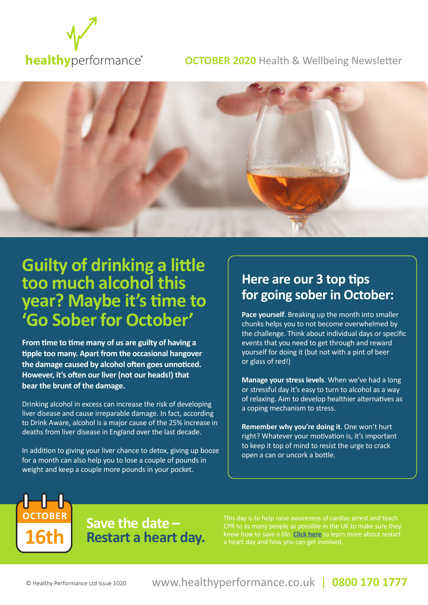

#### **OCTOBER 2020** Health & Wellbeing Newsletter



# **Guilty of drinking a little too much alcohol this year? Maybe it's time to 'Go Sober for October'**

**From time to time many of us are guilty of having a tipple too many. Apart from the occasional hangover the damage caused by alcohol often goes unnoticed. However, it's often our liver (not our heads!) that bear the brunt of the damage.** 

Drinking alcohol in excess can increase the risk of developing liver disease and cause irreparable damage. In fact, according to Drink Aware, alcohol is a major cause of the 25% increase in deaths from liver disease in England over the last decade.

In addition to giving your liver chance to detox, giving up booze for a month can also help you to lose a couple of pounds in weight and keep a couple more pounds in your pocket.

# **Here are our 3 top tips for going sober in October:**

**Pace yourself**. Breaking up the month into smaller chunks helps you to not become overwhelmed by the challenge. Think about individual days or specific events that you need to get through and reward yourself for doing it (but not with a pint of beer or glass of red!)

**Manage your stress levels**. When we've had a long or stressful day it's easy to turn to alcohol as a way of relaxing. Aim to develop healthier alternatives as a coping mechanism to stress.

**Remember why you're doing it**. One won't hurt right? Whatever your motivation is, it's important to keep it top of mind to resist the urge to crack open a can or uncork a bottle.

**Save the date – 16th Restart a heart day.** 

This day is to help raise awareness of cardiac arrest and teach CPR to as many people as possible in the UK to make sure they know how to save a life. **Click here** to learn more about restart

**OCTOBER**